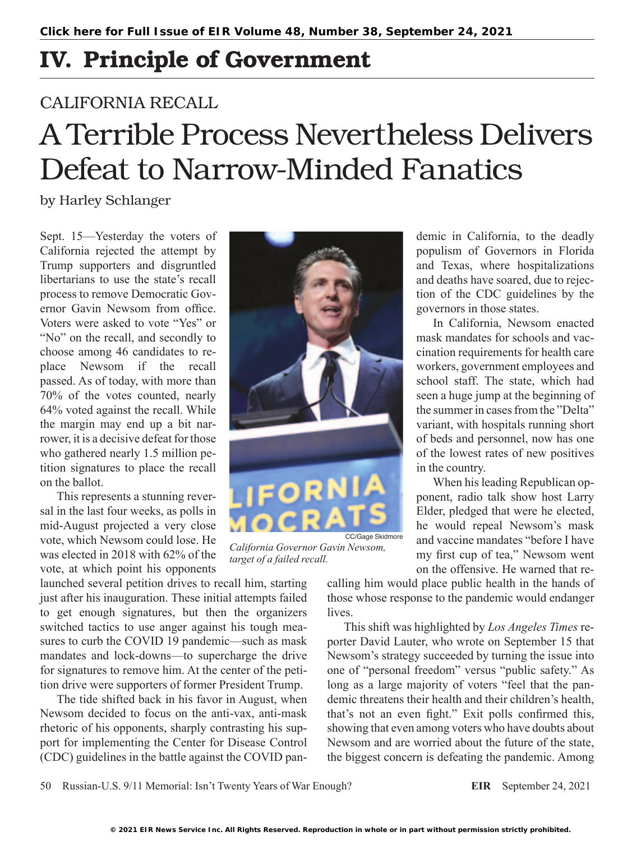## IV. Principle of Government

## CALIFORNIA RECALL A Terrible Process Nevertheless Delivers Defeat to Narrow-Minded Fanatics

by Harley Schlanger

Sept. 15—Yesterday the voters of California rejected the attempt by Trump supporters and disgruntled libertarians to use the state's recall process to remove Democratic Governor Gavin Newsom from office. Voters were asked to vote "Yes" or "No" on the recall, and secondly to choose among 46 candidates to replace Newsom if the recall passed. As of today, with more than 70% of the votes counted, nearly 64% voted against the recall. While the margin may end up a bit narrower, it is a decisive defeat for those who gathered nearly 1.5 million petition signatures to place the recall on the ballot.

This represents a stunning reversal in the last four weeks, as polls in mid-August projected a very close vote, which Newsom could lose. He was elected in 2018 with 62% of the vote, at which point his opponents

launched several petition drives to recall him, starting just after his inauguration. These initial attempts failed to get enough signatures, but then the organizers switched tactics to use anger against his tough measures to curb the COVID 19 pandemic—such as mask mandates and lock-downs—to supercharge the drive for signatures to remove him. At the center of the petition drive were supporters of former President Trump.

The tide shifted back in his favor in August, when Newsom decided to focus on the anti-vax, anti-mask rhetoric of his opponents, sharply contrasting his support for implementing the Center for Disease Control (CDC) guidelines in the battle against the COVID pan-



*California Governor Gavin Newsom, target of a failed recall.*

demic in California, to the deadly populism of Governors in Florida and Texas, where hospitalizations and deaths have soared, due to rejection of the CDC guidelines by the governors in those states.

In California, Newsom enacted mask mandates for schools and vaccination requirements for health care workers, government employees and school staff. The state, which had seen a huge jump at the beginning of the summer in cases from the "Delta" variant, with hospitals running short of beds and personnel, now has one of the lowest rates of new positives in the country.

When his leading Republican opponent, radio talk show host Larry Elder, pledged that were he elected, he would repeal Newsom's mask and vaccine mandates "before I have my first cup of tea," Newsom went on the offensive. He warned that re-

calling him would place public health in the hands of those whose response to the pandemic would endanger lives.

This shift was highlighted by *Los Angeles Times* reporter David Lauter, who wrote on September 15 that Newsom's strategy succeeded by turning the issue into one of "personal freedom" versus "public safety." As long as a large majority of voters "feel that the pandemic threatens their health and their children's health, that's not an even fight." Exit polls confirmed this, showing that even among voters who have doubts about Newsom and are worried about the future of the state, the biggest concern is defeating the pandemic. Among

50 Russian-U.S. 9/11 Memorial: Isn't Twenty Years of War Enough? **EIR** September 24, 2021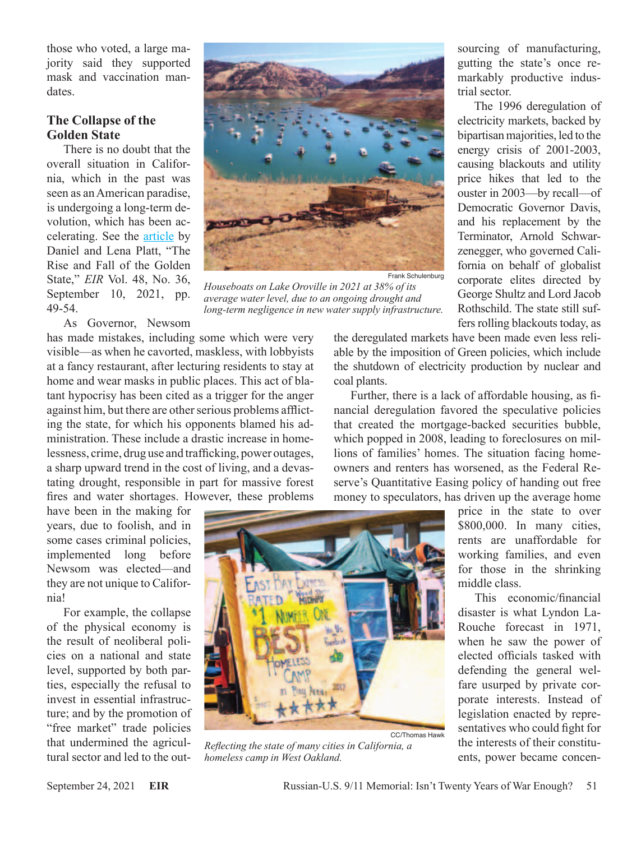those who voted, a large majority said they supported mask and vaccination mandates.

## **The Collapse of the Golden State**

There is no doubt that the overall situation in California, which in the past was seen as an American paradise, is undergoing a long-term devolution, which has been accelerating. See the [article](https://larouchepub.com/eiw/public/2021/eirv48n36-20210910/index.html) by Daniel and Lena Platt, "The Rise and Fall of the Golden State," *EIR* Vol. 48, No. 36, September 10, 2021, pp. 49-54.

As Governor, Newsom



*Houseboats on Lake Oroville in 2021 at 38% of its average water level, due to an ongoing drought and long-term negligence in new water supply infrastructure.*

has made mistakes, including some which were very visible—as when he cavorted, maskless, with lobbyists at a fancy restaurant, after lecturing residents to stay at home and wear masks in public places. This act of blatant hypocrisy has been cited as a trigger for the anger against him, but there are other serious problems afflicting the state, for which his opponents blamed his administration. These include a drastic increase in homelessness, crime, drug use and trafficking, power outages, a sharp upward trend in the cost of living, and a devastating drought, responsible in part for massive forest fires and water shortages. However, these problems

have been in the making for years, due to foolish, and in some cases criminal policies, implemented long before Newsom was elected—and they are not unique to California!

For example, the collapse of the physical economy is the result of neoliberal policies on a national and state level, supported by both parties, especially the refusal to invest in essential infrastructure; and by the promotion of "free market" trade policies that undermined the agricultural sector and led to the out-



*Reflecting the state of many cities in California, a homeless camp in West Oakland.*

sourcing of manufacturing, gutting the state's once remarkably productive industrial sector.

The 1996 deregulation of electricity markets, backed by bipartisan majorities, led to the energy crisis of 2001-2003, causing blackouts and utility price hikes that led to the ouster in 2003—by recall—of Democratic Governor Davis, and his replacement by the Terminator, Arnold Schwarzenegger, who governed California on behalf of globalist corporate elites directed by George Shultz and Lord Jacob Rothschild. The state still suffers rolling blackouts today, as

the deregulated markets have been made even less reliable by the imposition of Green policies, which include the shutdown of electricity production by nuclear and coal plants.

Further, there is a lack of affordable housing, as financial deregulation favored the speculative policies that created the mortgage-backed securities bubble, which popped in 2008, leading to foreclosures on millions of families' homes. The situation facing homeowners and renters has worsened, as the Federal Reserve's Quantitative Easing policy of handing out free money to speculators, has driven up the average home

> price in the state to over \$800,000. In many cities, rents are unaffordable for working families, and even for those in the shrinking middle class.

> This economic/financial disaster is what Lyndon La-Rouche forecast in 1971, when he saw the power of elected officials tasked with defending the general welfare usurped by private corporate interests. Instead of legislation enacted by representatives who could fight for the interests of their constituents, power became concen-